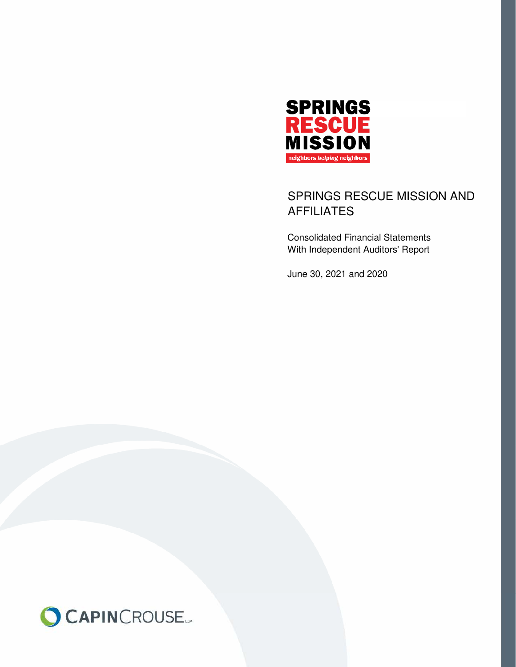

Consolidated Financial Statements With Independent Auditors' Report

June 30, 2021 and 2020

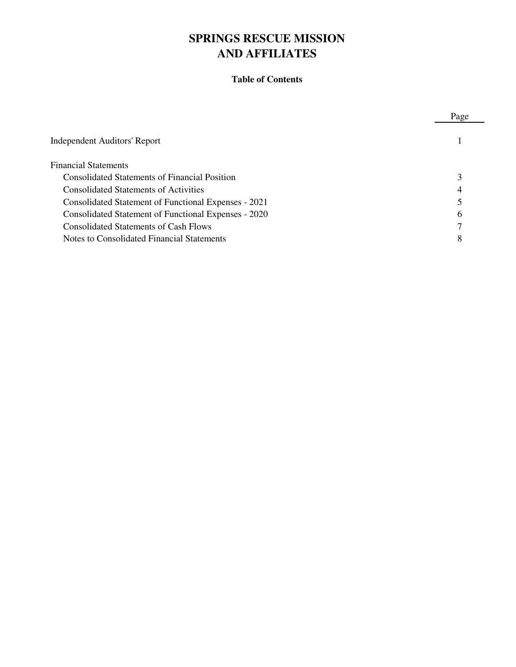## **Table of Contents**

|                                                      | Page |
|------------------------------------------------------|------|
| Independent Auditors' Report                         |      |
| <b>Financial Statements</b>                          |      |
| <b>Consolidated Statements of Financial Position</b> |      |
| <b>Consolidated Statements of Activities</b>         |      |
| Consolidated Statement of Functional Expenses - 2021 |      |
| Consolidated Statement of Functional Expenses - 2020 | 6    |
| <b>Consolidated Statements of Cash Flows</b>         |      |
| Notes to Consolidated Financial Statements           | 8    |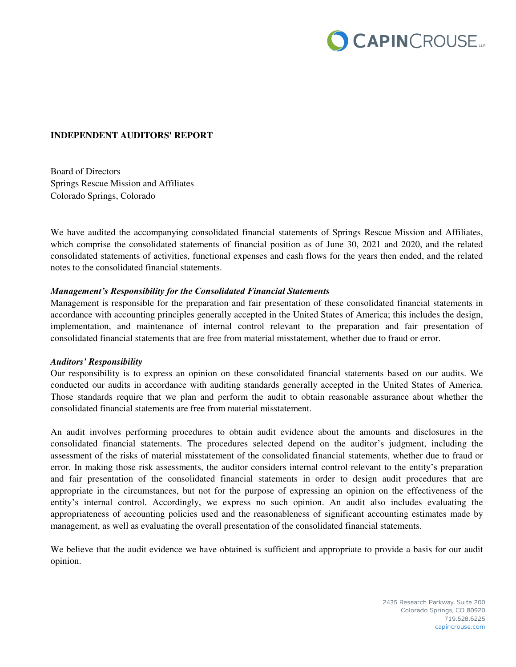

#### **INDEPENDENT AUDITORS' REPORT**

Board of Directors Springs Rescue Mission and Affiliates Colorado Springs, Colorado

We have audited the accompanying consolidated financial statements of Springs Rescue Mission and Affiliates, which comprise the consolidated statements of financial position as of June 30, 2021 and 2020, and the related consolidated statements of activities, functional expenses and cash flows for the years then ended, and the related notes to the consolidated financial statements.

#### *Management's Responsibility for the Consolidated Financial Statements*

Management is responsible for the preparation and fair presentation of these consolidated financial statements in accordance with accounting principles generally accepted in the United States of America; this includes the design, implementation, and maintenance of internal control relevant to the preparation and fair presentation of consolidated financial statements that are free from material misstatement, whether due to fraud or error.

#### *Auditors' Responsibility*

Our responsibility is to express an opinion on these consolidated financial statements based on our audits. We conducted our audits in accordance with auditing standards generally accepted in the United States of America. Those standards require that we plan and perform the audit to obtain reasonable assurance about whether the consolidated financial statements are free from material misstatement.

An audit involves performing procedures to obtain audit evidence about the amounts and disclosures in the consolidated financial statements. The procedures selected depend on the auditor's judgment, including the assessment of the risks of material misstatement of the consolidated financial statements, whether due to fraud or error. In making those risk assessments, the auditor considers internal control relevant to the entity's preparation and fair presentation of the consolidated financial statements in order to design audit procedures that are appropriate in the circumstances, but not for the purpose of expressing an opinion on the effectiveness of the entity's internal control. Accordingly, we express no such opinion. An audit also includes evaluating the appropriateness of accounting policies used and the reasonableness of significant accounting estimates made by management, as well as evaluating the overall presentation of the consolidated financial statements.

We believe that the audit evidence we have obtained is sufficient and appropriate to provide a basis for our audit opinion.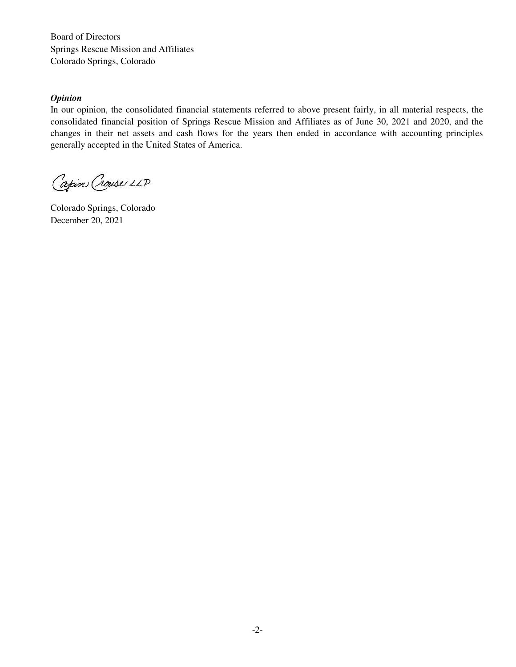Board of Directors Springs Rescue Mission and Affiliates Colorado Springs, Colorado

### *Opinion*

In our opinion, the consolidated financial statements referred to above present fairly, in all material respects, the consolidated financial position of Springs Rescue Mission and Affiliates as of June 30, 2021 and 2020, and the changes in their net assets and cash flows for the years then ended in accordance with accounting principles generally accepted in the United States of America.

Capin Crouse LLP

Colorado Springs, Colorado December 20, 2021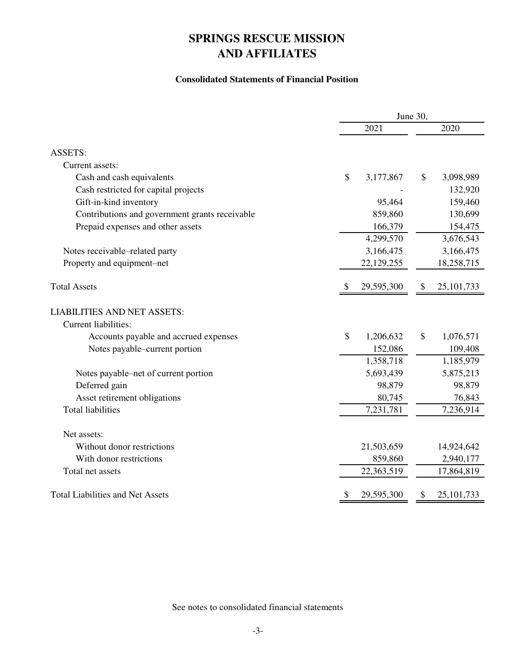## **Consolidated Statements of Financial Position**

|                                                | June 30,         |                    |  |  |  |
|------------------------------------------------|------------------|--------------------|--|--|--|
|                                                | 2021             | 2020               |  |  |  |
| <b>ASSETS:</b>                                 |                  |                    |  |  |  |
| Current assets:                                |                  |                    |  |  |  |
| Cash and cash equivalents                      | \$<br>3,177,867  | \$<br>3,098,989    |  |  |  |
| Cash restricted for capital projects           |                  | 132,920            |  |  |  |
| Gift-in-kind inventory                         | 95,464           | 159,460            |  |  |  |
| Contributions and government grants receivable | 859,860          | 130,699            |  |  |  |
| Prepaid expenses and other assets              | 166,379          | 154,475            |  |  |  |
|                                                | 4,299,570        | 3,676,543          |  |  |  |
| Notes receivable-related party                 | 3,166,475        | 3,166,475          |  |  |  |
| Property and equipment-net                     | 22,129,255       | 18,258,715         |  |  |  |
| <b>Total Assets</b>                            | 29,595,300       | 25, 101, 733<br>\$ |  |  |  |
| <b>LIABILITIES AND NET ASSETS:</b>             |                  |                    |  |  |  |
| Current liabilities:                           |                  |                    |  |  |  |
| Accounts payable and accrued expenses          | \$<br>1,206,632  | \$<br>1,076,571    |  |  |  |
| Notes payable–current portion                  | 152,086          | 109,408            |  |  |  |
|                                                | 1,358,718        | 1,185,979          |  |  |  |
| Notes payable–net of current portion           | 5,693,439        | 5,875,213          |  |  |  |
| Deferred gain                                  | 98,879           | 98,879             |  |  |  |
| Asset retirement obligations                   | 80,745           | 76,843             |  |  |  |
| <b>Total liabilities</b>                       | 7,231,781        | 7,236,914          |  |  |  |
| Net assets:                                    |                  |                    |  |  |  |
| Without donor restrictions                     | 21,503,659       | 14,924,642         |  |  |  |
| With donor restrictions                        | 859,860          | 2,940,177          |  |  |  |
| Total net assets                               | 22,363,519       | 17,864,819         |  |  |  |
| <b>Total Liabilities and Net Assets</b>        | 29,595,300<br>\$ | 25, 101, 733<br>S  |  |  |  |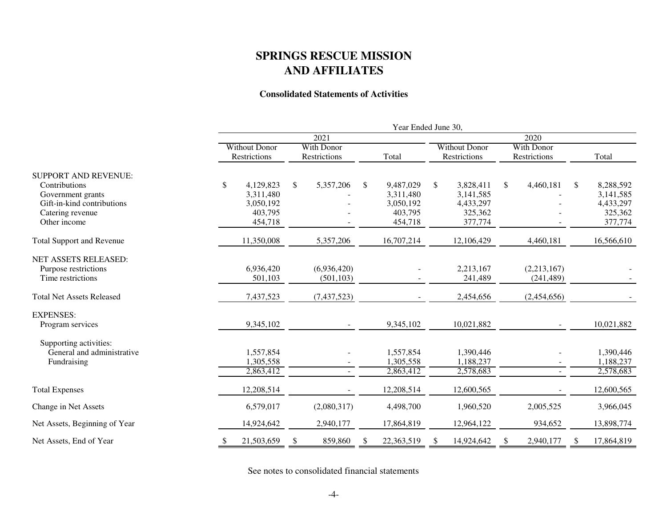### **Consolidated Statements of Activities**

|                                                                                                                                     |                                                                 | Year Ended June 30,               |                                                                 |                                                                 |                                   |                                                                 |  |  |  |  |
|-------------------------------------------------------------------------------------------------------------------------------------|-----------------------------------------------------------------|-----------------------------------|-----------------------------------------------------------------|-----------------------------------------------------------------|-----------------------------------|-----------------------------------------------------------------|--|--|--|--|
|                                                                                                                                     |                                                                 | 2021                              |                                                                 |                                                                 | 2020                              |                                                                 |  |  |  |  |
|                                                                                                                                     | <b>Without Donor</b><br>Restrictions                            | <b>With Donor</b><br>Restrictions | Total                                                           | <b>Without Donor</b><br>Restrictions                            | <b>With Donor</b><br>Restrictions | Total                                                           |  |  |  |  |
| <b>SUPPORT AND REVENUE:</b><br>Contributions<br>Government grants<br>Gift-in-kind contributions<br>Catering revenue<br>Other income | \$<br>4,129,823<br>3,311,480<br>3,050,192<br>403,795<br>454,718 | $\mathbb{S}$<br>5,357,206         | \$<br>9,487,029<br>3,311,480<br>3,050,192<br>403,795<br>454,718 | \$<br>3,828,411<br>3,141,585<br>4,433,297<br>325,362<br>377,774 | $\mathbb{S}$<br>4,460,181         | 8,288,592<br>\$<br>3,141,585<br>4,433,297<br>325,362<br>377,774 |  |  |  |  |
| <b>Total Support and Revenue</b>                                                                                                    | 11,350,008                                                      | 5,357,206                         | 16,707,214                                                      | 12,106,429                                                      | 4,460,181                         | 16,566,610                                                      |  |  |  |  |
| NET ASSETS RELEASED:<br>Purpose restrictions<br>Time restrictions                                                                   | 6,936,420<br>501,103                                            | (6,936,420)<br>(501, 103)         |                                                                 | 2,213,167<br>241,489                                            | (2,213,167)<br>(241, 489)         |                                                                 |  |  |  |  |
| <b>Total Net Assets Released</b>                                                                                                    | 7,437,523                                                       | (7, 437, 523)                     |                                                                 | 2,454,656                                                       | (2,454,656)                       |                                                                 |  |  |  |  |
| <b>EXPENSES:</b><br>Program services                                                                                                | 9,345,102                                                       |                                   | 9,345,102                                                       | 10,021,882                                                      |                                   | 10,021,882                                                      |  |  |  |  |
| Supporting activities:<br>General and administrative<br>Fundraising                                                                 | 1,557,854<br>1,305,558<br>2,863,412                             |                                   | 1,557,854<br>1,305,558<br>2,863,412                             | 1,390,446<br>1,188,237<br>2,578,683                             |                                   | 1,390,446<br>1,188,237<br>2,578,683                             |  |  |  |  |
| <b>Total Expenses</b>                                                                                                               | 12,208,514                                                      |                                   | 12,208,514                                                      | 12,600,565                                                      |                                   | 12,600,565                                                      |  |  |  |  |
| Change in Net Assets                                                                                                                | 6,579,017                                                       | (2,080,317)                       | 4,498,700                                                       | 1,960,520                                                       | 2,005,525                         | 3,966,045                                                       |  |  |  |  |
| Net Assets, Beginning of Year                                                                                                       | 14,924,642                                                      | 2,940,177                         | 17,864,819                                                      | 12,964,122                                                      | 934,652                           | 13,898,774                                                      |  |  |  |  |
| Net Assets, End of Year                                                                                                             | 21,503,659                                                      | 859,860<br>\$                     | 22,363,519                                                      | 14,924,642                                                      | 2,940,177<br>\$                   | 17,864,819                                                      |  |  |  |  |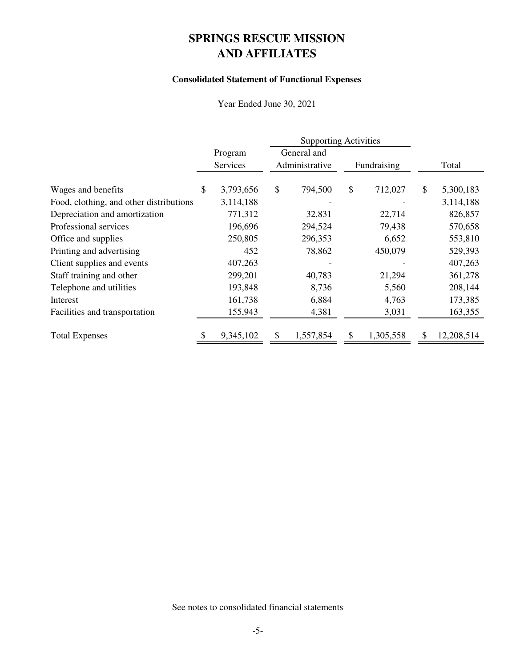## **Consolidated Statement of Functional Expenses**

Year Ended June 30, 2021

|                                         |    |           | <b>Supporting Activities</b> |                |     |             |                  |
|-----------------------------------------|----|-----------|------------------------------|----------------|-----|-------------|------------------|
|                                         |    | Program   |                              | General and    |     |             |                  |
|                                         |    | Services  |                              | Administrative |     | Fundraising | Total            |
|                                         |    |           |                              |                |     |             |                  |
| Wages and benefits                      | \$ | 3,793,656 | \$                           | 794,500        | \$  | 712,027     | \$<br>5,300,183  |
| Food, clothing, and other distributions |    | 3,114,188 |                              |                |     |             | 3,114,188        |
| Depreciation and amortization           |    | 771,312   |                              | 32,831         |     | 22,714      | 826,857          |
| Professional services                   |    | 196,696   |                              | 294,524        |     | 79,438      | 570,658          |
| Office and supplies                     |    | 250,805   |                              | 296,353        |     | 6,652       | 553,810          |
| Printing and advertising                |    | 452       |                              | 78,862         |     | 450,079     | 529,393          |
| Client supplies and events              |    | 407,263   |                              |                |     |             | 407,263          |
| Staff training and other                |    | 299,201   |                              | 40,783         |     | 21,294      | 361,278          |
| Telephone and utilities                 |    | 193,848   |                              | 8,736          |     | 5,560       | 208,144          |
| Interest                                |    | 161,738   |                              | 6,884          |     | 4,763       | 173,385          |
| Facilities and transportation           |    | 155,943   |                              | 4,381          |     | 3,031       | 163,355          |
| <b>Total Expenses</b>                   | S  | 9,345,102 | S                            | 1,557,854      | \$. | 1,305,558   | \$<br>12,208,514 |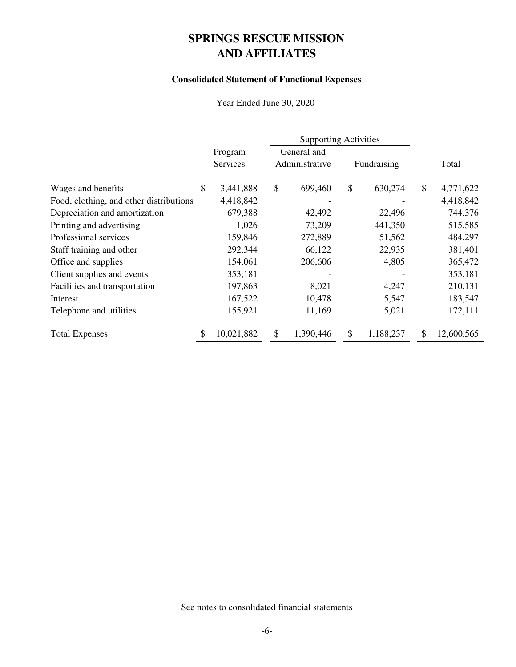## **Consolidated Statement of Functional Expenses**

Year Ended June 30, 2020

|                                         | <b>Supporting Activities</b> |            |    |                |                 |                  |
|-----------------------------------------|------------------------------|------------|----|----------------|-----------------|------------------|
|                                         |                              | Program    |    | General and    |                 |                  |
|                                         |                              | Services   |    | Administrative | Fundraising     | Total            |
|                                         |                              |            |    |                |                 |                  |
| Wages and benefits                      | \$                           | 3,441,888  | \$ | 699,460        | \$<br>630,274   | \$<br>4,771,622  |
| Food, clothing, and other distributions |                              | 4,418,842  |    |                |                 | 4,418,842        |
| Depreciation and amortization           |                              | 679,388    |    | 42,492         | 22,496          | 744,376          |
| Printing and advertising                |                              | 1,026      |    | 73,209         | 441,350         | 515,585          |
| Professional services                   |                              | 159,846    |    | 272,889        | 51,562          | 484,297          |
| Staff training and other                |                              | 292,344    |    | 66,122         | 22,935          | 381,401          |
| Office and supplies                     |                              | 154,061    |    | 206,606        | 4,805           | 365,472          |
| Client supplies and events              |                              | 353,181    |    |                |                 | 353,181          |
| Facilities and transportation           |                              | 197,863    |    | 8,021          | 4,247           | 210,131          |
| Interest                                |                              | 167,522    |    | 10,478         | 5,547           | 183,547          |
| Telephone and utilities                 |                              | 155,921    |    | 11,169         | 5,021           | 172,111          |
| <b>Total Expenses</b>                   |                              | 10,021,882 | \$ | 1,390,446      | \$<br>1,188,237 | \$<br>12,600,565 |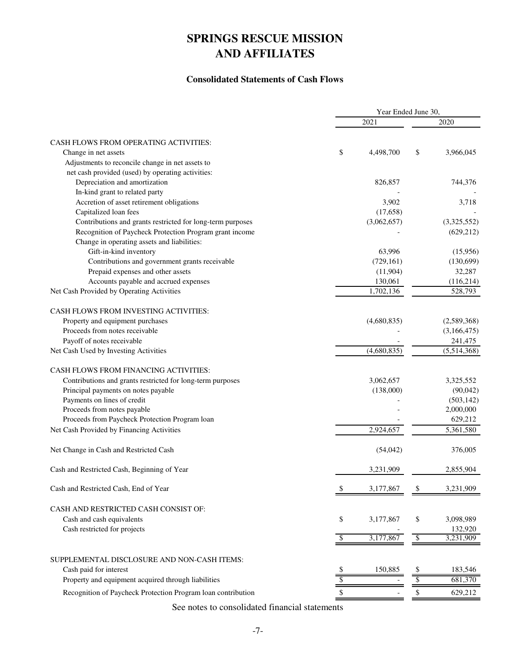### **Consolidated Statements of Cash Flows**

|                                                              | Year Ended June 30,     |             |            |             |
|--------------------------------------------------------------|-------------------------|-------------|------------|-------------|
|                                                              |                         | 2021        |            | 2020        |
| CASH FLOWS FROM OPERATING ACTIVITIES:                        |                         |             |            |             |
| Change in net assets                                         | \$                      | 4,498,700   | \$         | 3,966,045   |
| Adjustments to reconcile change in net assets to             |                         |             |            |             |
| net cash provided (used) by operating activities:            |                         |             |            |             |
| Depreciation and amortization                                |                         | 826,857     |            | 744,376     |
| In-kind grant to related party                               |                         |             |            |             |
| Accretion of asset retirement obligations                    |                         | 3,902       |            | 3,718       |
| Capitalized loan fees                                        |                         | (17, 658)   |            |             |
| Contributions and grants restricted for long-term purposes   |                         | (3,062,657) |            | (3,325,552) |
| Recognition of Paycheck Protection Program grant income      |                         |             |            | (629, 212)  |
| Change in operating assets and liabilities:                  |                         |             |            |             |
| Gift-in-kind inventory                                       |                         | 63,996      |            | (15,956)    |
| Contributions and government grants receivable               |                         | (729, 161)  |            | (130,699)   |
| Prepaid expenses and other assets                            |                         | (11,904)    |            | 32,287      |
| Accounts payable and accrued expenses                        |                         | 130,061     |            | (116, 214)  |
| Net Cash Provided by Operating Activities                    |                         | 1,702,136   |            | 528,793     |
| CASH FLOWS FROM INVESTING ACTIVITIES:                        |                         |             |            |             |
| Property and equipment purchases                             |                         | (4,680,835) |            | (2,589,368) |
| Proceeds from notes receivable                               |                         |             |            | (3,166,475) |
| Payoff of notes receivable                                   |                         |             |            | 241,475     |
| Net Cash Used by Investing Activities                        |                         | (4,680,835) |            | (5,514,368) |
| CASH FLOWS FROM FINANCING ACTIVITIES:                        |                         |             |            |             |
| Contributions and grants restricted for long-term purposes   |                         | 3,062,657   |            | 3,325,552   |
| Principal payments on notes payable                          |                         | (138,000)   |            | (90,042)    |
| Payments on lines of credit                                  |                         |             |            | (503, 142)  |
| Proceeds from notes payable                                  |                         |             |            | 2,000,000   |
| Proceeds from Paycheck Protection Program loan               |                         |             |            | 629,212     |
| Net Cash Provided by Financing Activities                    |                         | 2,924,657   |            | 5,361,580   |
| Net Change in Cash and Restricted Cash                       |                         | (54, 042)   |            | 376,005     |
| Cash and Restricted Cash, Beginning of Year                  |                         | 3,231,909   |            | 2,855,904   |
| Cash and Restricted Cash, End of Year                        | P.                      | 3,177,867   | \$         | 3,231,909   |
| CASH AND RESTRICTED CASH CONSIST OF:                         |                         |             |            |             |
| Cash and cash equivalents                                    | \$                      | 3,177,867   | \$         | 3,098,989   |
| Cash restricted for projects                                 |                         |             |            | 132,920     |
|                                                              | \$                      | 3,177,867   | $\sqrt{2}$ | 3,231,909   |
| SUPPLEMENTAL DISCLOSURE AND NON-CASH ITEMS:                  |                         |             |            |             |
| Cash paid for interest                                       | \$                      | 150,885     | \$         | 183,546     |
| Property and equipment acquired through liabilities          | $\overline{\mathsf{S}}$ |             | \$         | 681,370     |
| Recognition of Paycheck Protection Program loan contribution | \$                      |             | \$         | 629,212     |
|                                                              |                         |             |            |             |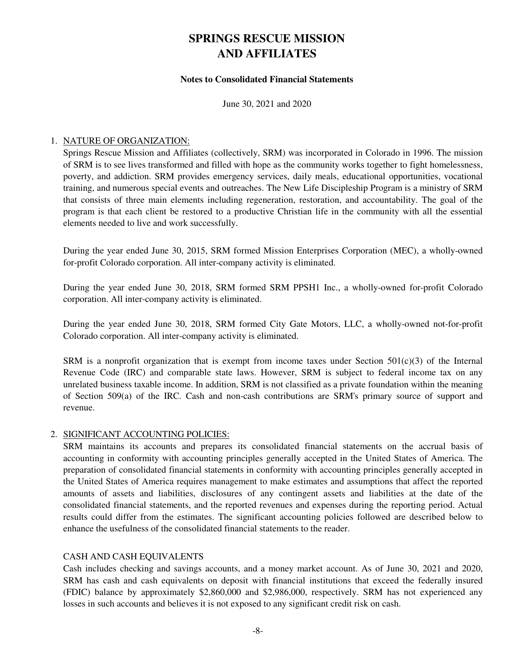### **Notes to Consolidated Financial Statements**

June 30, 2021 and 2020

### 1. NATURE OF ORGANIZATION:

Springs Rescue Mission and Affiliates (collectively, SRM) was incorporated in Colorado in 1996. The mission of SRM is to see lives transformed and filled with hope as the community works together to fight homelessness, poverty, and addiction. SRM provides emergency services, daily meals, educational opportunities, vocational training, and numerous special events and outreaches. The New Life Discipleship Program is a ministry of SRM that consists of three main elements including regeneration, restoration, and accountability. The goal of the program is that each client be restored to a productive Christian life in the community with all the essential elements needed to live and work successfully.

During the year ended June 30, 2015, SRM formed Mission Enterprises Corporation (MEC), a wholly-owned for-profit Colorado corporation. All inter-company activity is eliminated.

During the year ended June 30, 2018, SRM formed SRM PPSH1 Inc., a wholly-owned for-profit Colorado corporation. All inter-company activity is eliminated.

During the year ended June 30, 2018, SRM formed City Gate Motors, LLC, a wholly-owned not-for-profit Colorado corporation. All inter-company activity is eliminated.

SRM is a nonprofit organization that is exempt from income taxes under Section  $501(c)(3)$  of the Internal Revenue Code (IRC) and comparable state laws. However, SRM is subject to federal income tax on any unrelated business taxable income. In addition, SRM is not classified as a private foundation within the meaning of Section 509(a) of the IRC. Cash and non-cash contributions are SRM's primary source of support and revenue.

### 2. SIGNIFICANT ACCOUNTING POLICIES:

SRM maintains its accounts and prepares its consolidated financial statements on the accrual basis of accounting in conformity with accounting principles generally accepted in the United States of America. The preparation of consolidated financial statements in conformity with accounting principles generally accepted in the United States of America requires management to make estimates and assumptions that affect the reported amounts of assets and liabilities, disclosures of any contingent assets and liabilities at the date of the consolidated financial statements, and the reported revenues and expenses during the reporting period. Actual results could differ from the estimates. The significant accounting policies followed are described below to enhance the usefulness of the consolidated financial statements to the reader.

### CASH AND CASH EQUIVALENTS

Cash includes checking and savings accounts, and a money market account. As of June 30, 2021 and 2020, SRM has cash and cash equivalents on deposit with financial institutions that exceed the federally insured (FDIC) balance by approximately \$2,860,000 and \$2,986,000, respectively. SRM has not experienced any losses in such accounts and believes it is not exposed to any significant credit risk on cash.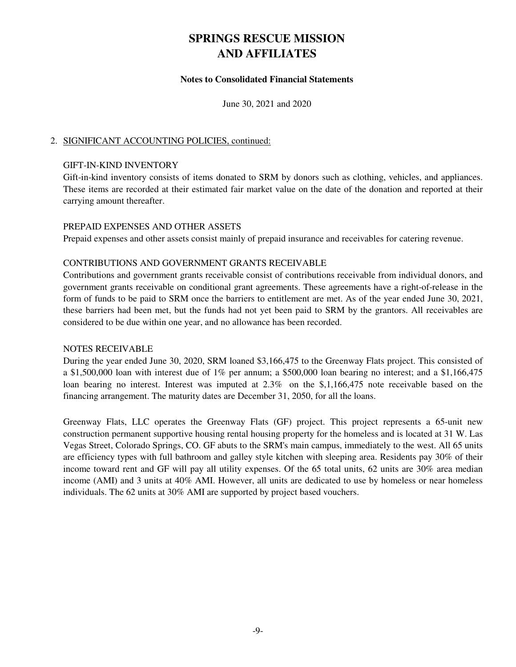### **Notes to Consolidated Financial Statements**

June 30, 2021 and 2020

### 2. SIGNIFICANT ACCOUNTING POLICIES, continued:

### GIFT-IN-KIND INVENTORY

Gift-in-kind inventory consists of items donated to SRM by donors such as clothing, vehicles, and appliances. These items are recorded at their estimated fair market value on the date of the donation and reported at their carrying amount thereafter.

#### PREPAID EXPENSES AND OTHER ASSETS

Prepaid expenses and other assets consist mainly of prepaid insurance and receivables for catering revenue.

#### CONTRIBUTIONS AND GOVERNMENT GRANTS RECEIVABLE

Contributions and government grants receivable consist of contributions receivable from individual donors, and government grants receivable on conditional grant agreements. These agreements have a right-of-release in the form of funds to be paid to SRM once the barriers to entitlement are met. As of the year ended June 30, 2021, these barriers had been met, but the funds had not yet been paid to SRM by the grantors. All receivables are considered to be due within one year, and no allowance has been recorded.

### NOTES RECEIVABLE

During the year ended June 30, 2020, SRM loaned \$3,166,475 to the Greenway Flats project. This consisted of a \$1,500,000 loan with interest due of 1% per annum; a \$500,000 loan bearing no interest; and a \$1,166,475 loan bearing no interest. Interest was imputed at 2.3% on the \$,1,166,475 note receivable based on the financing arrangement. The maturity dates are December 31, 2050, for all the loans.

Greenway Flats, LLC operates the Greenway Flats (GF) project. This project represents a 65-unit new construction permanent supportive housing rental housing property for the homeless and is located at 31 W. Las Vegas Street, Colorado Springs, CO. GF abuts to the SRM's main campus, immediately to the west. All 65 units are efficiency types with full bathroom and galley style kitchen with sleeping area. Residents pay 30% of their income toward rent and GF will pay all utility expenses. Of the 65 total units, 62 units are 30% area median income (AMI) and 3 units at 40% AMI. However, all units are dedicated to use by homeless or near homeless individuals. The 62 units at 30% AMI are supported by project based vouchers.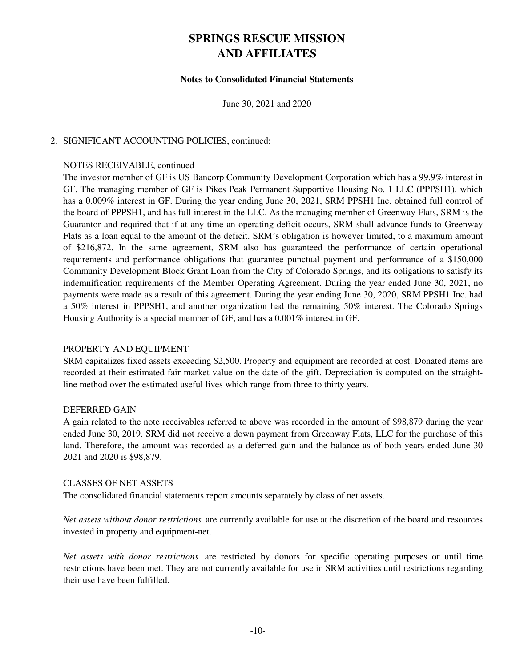### **Notes to Consolidated Financial Statements**

June 30, 2021 and 2020

### 2. SIGNIFICANT ACCOUNTING POLICIES, continued:

#### NOTES RECEIVABLE, continued

The investor member of GF is US Bancorp Community Development Corporation which has a 99.9% interest in GF. The managing member of GF is Pikes Peak Permanent Supportive Housing No. 1 LLC (PPPSH1), which has a 0.009% interest in GF. During the year ending June 30, 2021, SRM PPSH1 Inc. obtained full control of the board of PPPSH1, and has full interest in the LLC. As the managing member of Greenway Flats, SRM is the Guarantor and required that if at any time an operating deficit occurs, SRM shall advance funds to Greenway Flats as a loan equal to the amount of the deficit. SRM's obligation is however limited, to a maximum amount of \$216,872. In the same agreement, SRM also has guaranteed the performance of certain operational requirements and performance obligations that guarantee punctual payment and performance of a \$150,000 Community Development Block Grant Loan from the City of Colorado Springs, and its obligations to satisfy its indemnification requirements of the Member Operating Agreement. During the year ended June 30, 2021, no payments were made as a result of this agreement. During the year ending June 30, 2020, SRM PPSH1 Inc. had a 50% interest in PPPSH1, and another organization had the remaining 50% interest. The Colorado Springs Housing Authority is a special member of GF, and has a 0.001% interest in GF.

### PROPERTY AND EQUIPMENT

SRM capitalizes fixed assets exceeding \$2,500. Property and equipment are recorded at cost. Donated items are recorded at their estimated fair market value on the date of the gift. Depreciation is computed on the straightline method over the estimated useful lives which range from three to thirty years.

### DEFERRED GAIN

A gain related to the note receivables referred to above was recorded in the amount of \$98,879 during the year ended June 30, 2019. SRM did not receive a down payment from Greenway Flats, LLC for the purchase of this land. Therefore, the amount was recorded as a deferred gain and the balance as of both years ended June 30 2021 and 2020 is \$98,879.

#### CLASSES OF NET ASSETS

The consolidated financial statements report amounts separately by class of net assets.

*Net assets without donor restrictions* are currently available for use at the discretion of the board and resources invested in property and equipment-net.

*Net assets with donor restrictions* are restricted by donors for specific operating purposes or until time restrictions have been met. They are not currently available for use in SRM activities until restrictions regarding their use have been fulfilled.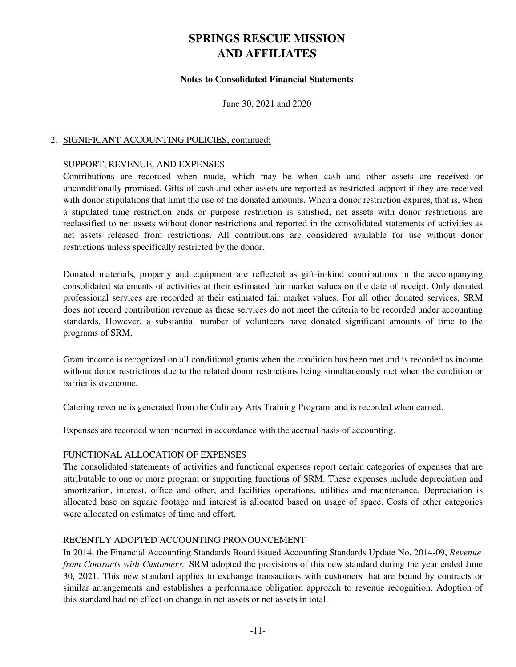### **Notes to Consolidated Financial Statements**

June 30, 2021 and 2020

### 2. SIGNIFICANT ACCOUNTING POLICIES, continued:

### SUPPORT, REVENUE, AND EXPENSES

Contributions are recorded when made, which may be when cash and other assets are received or unconditionally promised. Gifts of cash and other assets are reported as restricted support if they are received with donor stipulations that limit the use of the donated amounts. When a donor restriction expires, that is, when a stipulated time restriction ends or purpose restriction is satisfied, net assets with donor restrictions are reclassified to net assets without donor restrictions and reported in the consolidated statements of activities as net assets released from restrictions. All contributions are considered available for use without donor restrictions unless specifically restricted by the donor.

Donated materials, property and equipment are reflected as gift-in-kind contributions in the accompanying consolidated statements of activities at their estimated fair market values on the date of receipt. Only donated professional services are recorded at their estimated fair market values. For all other donated services, SRM does not record contribution revenue as these services do not meet the criteria to be recorded under accounting standards. However, a substantial number of volunteers have donated significant amounts of time to the programs of SRM.

Grant income is recognized on all conditional grants when the condition has been met and is recorded as income without donor restrictions due to the related donor restrictions being simultaneously met when the condition or barrier is overcome.

Catering revenue is generated from the Culinary Arts Training Program, and is recorded when earned.

Expenses are recorded when incurred in accordance with the accrual basis of accounting.

### FUNCTIONAL ALLOCATION OF EXPENSES

The consolidated statements of activities and functional expenses report certain categories of expenses that are attributable to one or more program or supporting functions of SRM. These expenses include depreciation and amortization, interest, office and other, and facilities operations, utilities and maintenance. Depreciation is allocated base on square footage and interest is allocated based on usage of space. Costs of other categories were allocated on estimates of time and effort.

### RECENTLY ADOPTED ACCOUNTING PRONOUNCEMENT

In 2014, the Financial Accounting Standards Board issued Accounting Standards Update No. 2014-09, *Revenue from Contracts with Customers.* SRM adopted the provisions of this new standard during the year ended June 30, 2021. This new standard applies to exchange transactions with customers that are bound by contracts or similar arrangements and establishes a performance obligation approach to revenue recognition. Adoption of this standard had no effect on change in net assets or net assets in total.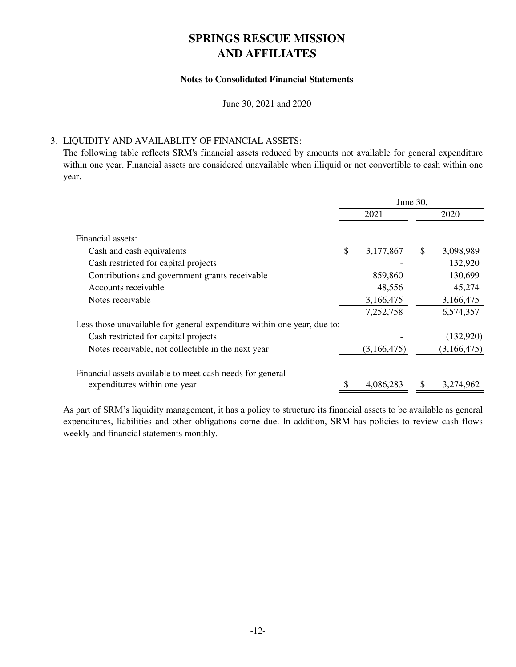### **Notes to Consolidated Financial Statements**

June 30, 2021 and 2020

### 3. LIQUIDITY AND AVAILABLITY OF FINANCIAL ASSETS:

The following table reflects SRM's financial assets reduced by amounts not available for general expenditure within one year. Financial assets are considered unavailable when illiquid or not convertible to cash within one year.

|                                                                         |      | June 30,    |              |             |  |  |
|-------------------------------------------------------------------------|------|-------------|--------------|-------------|--|--|
|                                                                         | 2021 |             |              | 2020        |  |  |
| Financial assets:                                                       |      |             |              |             |  |  |
|                                                                         |      |             |              |             |  |  |
| Cash and cash equivalents                                               | \$   | 3,177,867   | $\mathbb{S}$ | 3,098,989   |  |  |
| Cash restricted for capital projects                                    |      |             |              | 132,920     |  |  |
| Contributions and government grants receivable                          |      | 859,860     |              | 130,699     |  |  |
| Accounts receivable                                                     |      | 48,556      |              | 45,274      |  |  |
| Notes receivable                                                        |      | 3,166,475   |              | 3,166,475   |  |  |
|                                                                         |      | 7,252,758   |              | 6,574,357   |  |  |
| Less those unavailable for general expenditure within one year, due to: |      |             |              |             |  |  |
| Cash restricted for capital projects                                    |      |             |              | (132,920)   |  |  |
| Notes receivable, not collectible in the next year                      |      | (3,166,475) |              | (3,166,475) |  |  |
| Financial assets available to meet cash needs for general               |      |             |              |             |  |  |
| expenditures within one year                                            |      | 4,086,283   |              | 3,274,962   |  |  |
|                                                                         |      |             |              |             |  |  |

As part of SRM's liquidity management, it has a policy to structure its financial assets to be available as general expenditures, liabilities and other obligations come due. In addition, SRM has policies to review cash flows weekly and financial statements monthly.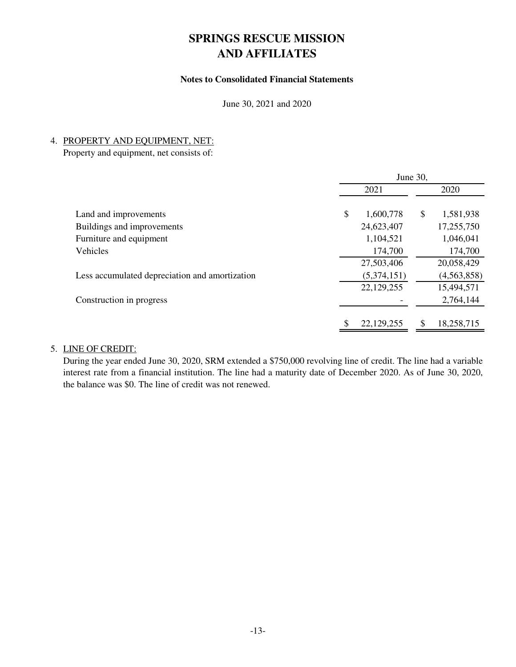## **Notes to Consolidated Financial Statements**

June 30, 2021 and 2020

### 4. PROPERTY AND EQUIPMENT, NET:

Property and equipment, net consists of:

|                                                | June 30, |             |    |             |
|------------------------------------------------|----------|-------------|----|-------------|
|                                                | 2021     |             |    | 2020        |
| Land and improvements                          | \$       | 1,600,778   | \$ | 1,581,938   |
| Buildings and improvements                     |          | 24,623,407  |    | 17,255,750  |
| Furniture and equipment                        |          | 1,104,521   |    | 1,046,041   |
| Vehicles                                       |          | 174,700     |    | 174,700     |
|                                                |          | 27,503,406  |    | 20,058,429  |
| Less accumulated depreciation and amortization |          | (5,374,151) |    | (4,563,858) |
|                                                |          | 22,129,255  |    | 15,494,571  |
| Construction in progress                       |          |             |    | 2,764,144   |
|                                                |          | 22,129,255  |    | 18,258,715  |

### 5. LINE OF CREDIT:

During the year ended June 30, 2020, SRM extended a \$750,000 revolving line of credit. The line had a variable interest rate from a financial institution. The line had a maturity date of December 2020. As of June 30, 2020, the balance was \$0. The line of credit was not renewed.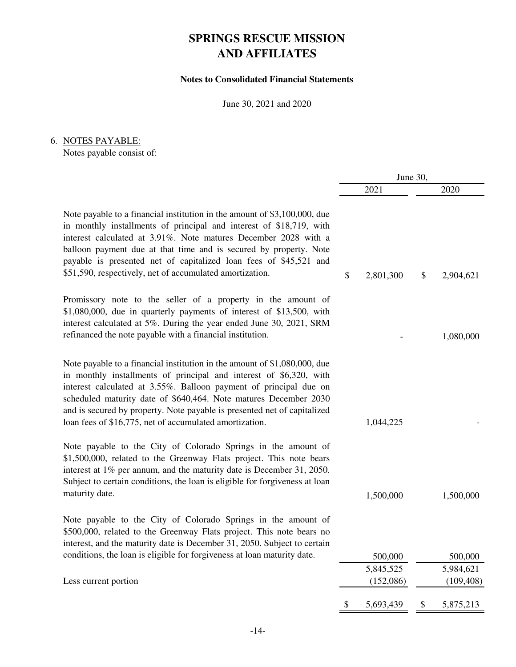## **Notes to Consolidated Financial Statements**

June 30, 2021 and 2020

## 6. NOTES PAYABLE:

Notes payable consist of:

|                                                                                                                                                                                                                                                                                                                                                                                                                           | June 30, |           |    |            |
|---------------------------------------------------------------------------------------------------------------------------------------------------------------------------------------------------------------------------------------------------------------------------------------------------------------------------------------------------------------------------------------------------------------------------|----------|-----------|----|------------|
|                                                                                                                                                                                                                                                                                                                                                                                                                           |          | 2021      |    | 2020       |
| Note payable to a financial institution in the amount of \$3,100,000, due<br>in monthly installments of principal and interest of \$18,719, with<br>interest calculated at 3.91%. Note matures December 2028 with a<br>balloon payment due at that time and is secured by property. Note<br>payable is presented net of capitalized loan fees of \$45,521 and<br>\$51,590, respectively, net of accumulated amortization. | \$       | 2,801,300 | \$ | 2,904,621  |
|                                                                                                                                                                                                                                                                                                                                                                                                                           |          |           |    |            |
| Promissory note to the seller of a property in the amount of<br>\$1,080,000, due in quarterly payments of interest of \$13,500, with<br>interest calculated at 5%. During the year ended June 30, 2021, SRM<br>refinanced the note payable with a financial institution.                                                                                                                                                  |          |           |    | 1,080,000  |
|                                                                                                                                                                                                                                                                                                                                                                                                                           |          |           |    |            |
| Note payable to a financial institution in the amount of \$1,080,000, due<br>in monthly installments of principal and interest of \$6,320, with<br>interest calculated at 3.55%. Balloon payment of principal due on<br>scheduled maturity date of \$640,464. Note matures December 2030<br>and is secured by property. Note payable is presented net of capitalized                                                      |          |           |    |            |
| loan fees of \$16,775, net of accumulated amortization.                                                                                                                                                                                                                                                                                                                                                                   |          | 1,044,225 |    |            |
| Note payable to the City of Colorado Springs in the amount of<br>\$1,500,000, related to the Greenway Flats project. This note bears<br>interest at 1% per annum, and the maturity date is December 31, 2050.<br>Subject to certain conditions, the loan is eligible for forgiveness at loan                                                                                                                              |          |           |    |            |
| maturity date.                                                                                                                                                                                                                                                                                                                                                                                                            |          | 1,500,000 |    | 1,500,000  |
| Note payable to the City of Colorado Springs in the amount of<br>\$500,000, related to the Greenway Flats project. This note bears no<br>interest, and the maturity date is December 31, 2050. Subject to certain                                                                                                                                                                                                         |          |           |    |            |
| conditions, the loan is eligible for forgiveness at loan maturity date.                                                                                                                                                                                                                                                                                                                                                   |          | 500,000   |    | 500,000    |
|                                                                                                                                                                                                                                                                                                                                                                                                                           |          | 5,845,525 |    | 5,984,621  |
| Less current portion                                                                                                                                                                                                                                                                                                                                                                                                      |          | (152,086) |    | (109, 408) |
|                                                                                                                                                                                                                                                                                                                                                                                                                           | \$       | 5,693,439 | \$ | 5,875,213  |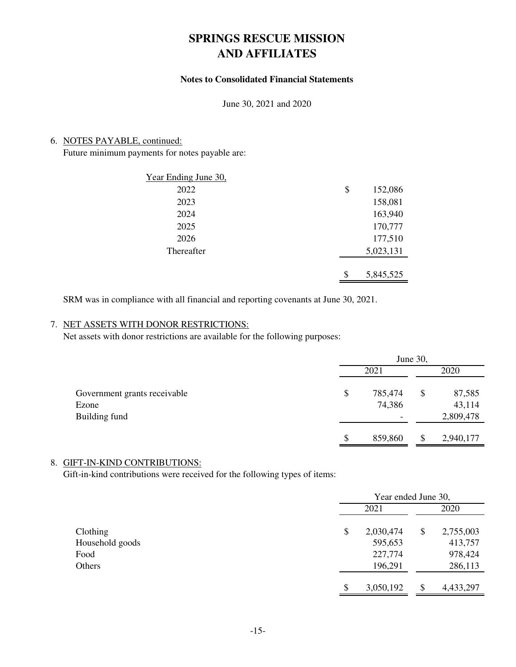## **Notes to Consolidated Financial Statements**

June 30, 2021 and 2020

### 6. NOTES PAYABLE, continued:

Future minimum payments for notes payable are:

| Year Ending June 30, |                 |
|----------------------|-----------------|
| 2022                 | \$<br>152,086   |
| 2023                 | 158,081         |
| 2024                 | 163,940         |
| 2025                 | 170,777         |
| 2026                 | 177,510         |
| Thereafter           | 5,023,131       |
|                      |                 |
|                      | \$<br>5,845,525 |

SRM was in compliance with all financial and reporting covenants at June 30, 2021.

#### 7. NET ASSETS WITH DONOR RESTRICTIONS:

Net assets with donor restrictions are available for the following purposes:

|                                                        |      | June 30,          |    |                               |  |  |
|--------------------------------------------------------|------|-------------------|----|-------------------------------|--|--|
|                                                        | 2021 |                   |    | 2020                          |  |  |
| Government grants receivable<br>Ezone<br>Building fund | \$   | 785,474<br>74,386 | \$ | 87,585<br>43,114<br>2,809,478 |  |  |
|                                                        | S    | 859,860           | S  | 2,940,177                     |  |  |

### 8. GIFT-IN-KIND CONTRIBUTIONS:

Gift-in-kind contributions were received for the following types of items:

|                 |      | Year ended June 30, |    |           |  |  |
|-----------------|------|---------------------|----|-----------|--|--|
|                 | 2021 |                     |    | 2020      |  |  |
| Clothing        | \$   | 2,030,474           | \$ | 2,755,003 |  |  |
| Household goods |      | 595,653             |    | 413,757   |  |  |
| Food            |      | 227,774             |    | 978,424   |  |  |
| Others          |      | 196,291             |    | 286,113   |  |  |
|                 | S    | 3,050,192           |    | 4,433,297 |  |  |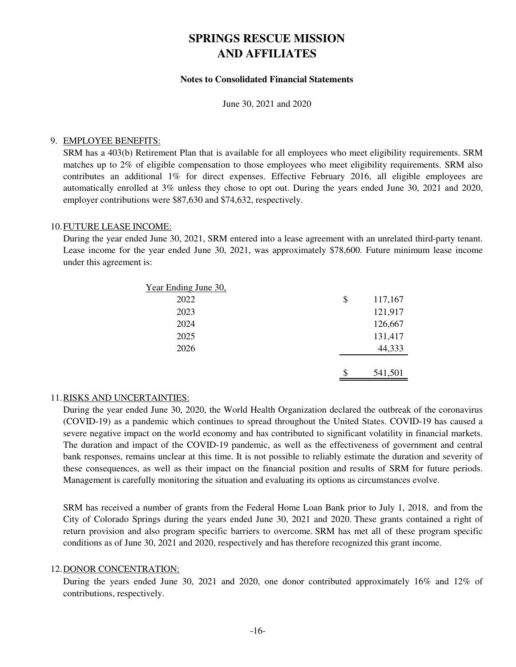#### **Notes to Consolidated Financial Statements**

June 30, 2021 and 2020

### 9. EMPLOYEE BENEFITS:

SRM has a 403(b) Retirement Plan that is available for all employees who meet eligibility requirements. SRM matches up to 2% of eligible compensation to those employees who meet eligibility requirements. SRM also contributes an additional 1% for direct expenses. Effective February 2016, all eligible employees are automatically enrolled at 3% unless they chose to opt out. During the years ended June 30, 2021 and 2020, employer contributions were \$87,630 and \$74,632, respectively.

### 10.FUTURE LEASE INCOME:

During the year ended June 30, 2021, SRM entered into a lease agreement with an unrelated third-party tenant. Lease income for the year ended June 30, 2021, was approximately \$78,600. Future minimum lease income under this agreement is:

| Year Ending June 30, |               |
|----------------------|---------------|
| 2022                 | \$<br>117,167 |
| 2023                 | 121,917       |
| 2024                 | 126,667       |
| 2025                 | 131,417       |
| 2026                 | 44,333        |
|                      |               |
|                      | 541,501       |

### 11.RISKS AND UNCERTAINTIES:

During the year ended June 30, 2020, the World Health Organization declared the outbreak of the coronavirus (COVID-19) as a pandemic which continues to spread throughout the United States. COVID-19 has caused a severe negative impact on the world economy and has contributed to significant volatility in financial markets. The duration and impact of the COVID-19 pandemic, as well as the effectiveness of government and central bank responses, remains unclear at this time. It is not possible to reliably estimate the duration and severity of these consequences, as well as their impact on the financial position and results of SRM for future periods. Management is carefully monitoring the situation and evaluating its options as circumstances evolve.

SRM has received a number of grants from the Federal Home Loan Bank prior to July 1, 2018, and from the City of Colorado Springs during the years ended June 30, 2021 and 2020. These grants contained a right of return provision and also program specific barriers to overcome. SRM has met all of these program specific conditions as of June 30, 2021 and 2020, respectively and has therefore recognized this grant income.

### 12.DONOR CONCENTRATION:

During the years ended June 30, 2021 and 2020, one donor contributed approximately 16% and 12% of contributions, respectively.